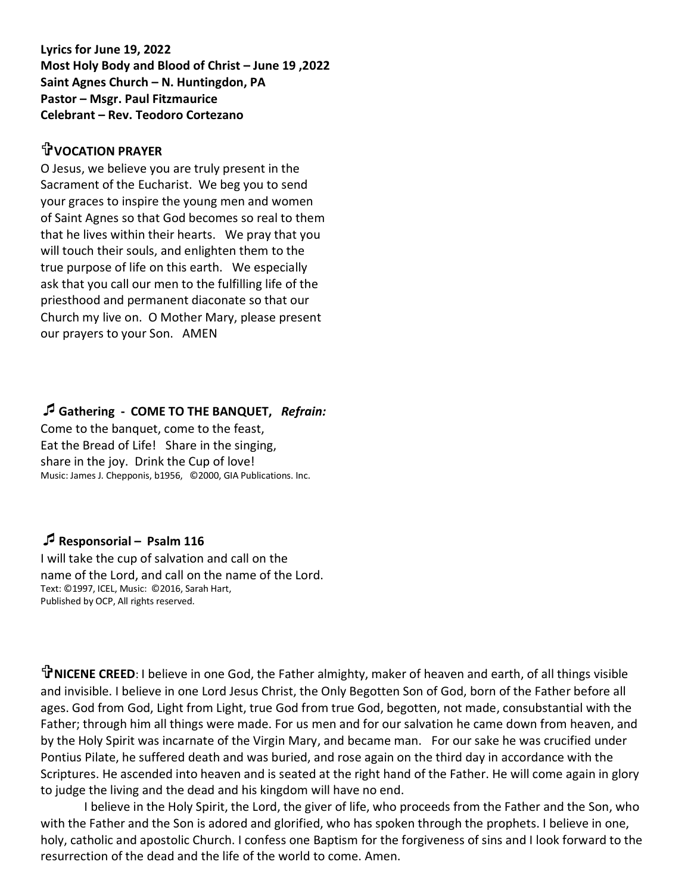**Lyrics for June 19, 2022 Most Holy Body and Blood of Christ – June 19 ,2022 Saint Agnes Church – N. Huntingdon, PA Pastor – Msgr. Paul Fitzmaurice Celebrant – Rev. Teodoro Cortezano**

#### **VOCATION PRAYER**

O Jesus, we believe you are truly present in the Sacrament of the Eucharist. We beg you to send your graces to inspire the young men and women of Saint Agnes so that God becomes so real to them that he lives within their hearts. We pray that you will touch their souls, and enlighten them to the true purpose of life on this earth. We especially ask that you call our men to the fulfilling life of the priesthood and permanent diaconate so that our Church my live on. O Mother Mary, please present our prayers to your Son. AMEN

#### **Gathering - COME TO THE BANQUET,** *Refrain:*

Come to the banquet, come to the feast, Eat the Bread of Life! Share in the singing, share in the joy. Drink the Cup of love! Music: James J. Chepponis, b1956, ©2000, GIA Publications. Inc.

#### **Responsorial – Psalm 116**

I will take the cup of salvation and call on the name of the Lord, and call on the name of the Lord. Text: ©1997, ICEL, Music: ©2016, Sarah Hart, Published by OCP, All rights reserved.

**NICENE CREED**: I believe in one God, the Father almighty, maker of heaven and earth, of all things visible and invisible. I believe in one Lord Jesus Christ, the Only Begotten Son of God, born of the Father before all ages. God from God, Light from Light, true God from true God, begotten, not made, consubstantial with the Father; through him all things were made. For us men and for our salvation he came down from heaven, and by the Holy Spirit was incarnate of the Virgin Mary, and became man. For our sake he was crucified under Pontius Pilate, he suffered death and was buried, and rose again on the third day in accordance with the Scriptures. He ascended into heaven and is seated at the right hand of the Father. He will come again in glory to judge the living and the dead and his kingdom will have no end.

I believe in the Holy Spirit, the Lord, the giver of life, who proceeds from the Father and the Son, who with the Father and the Son is adored and glorified, who has spoken through the prophets. I believe in one, holy, catholic and apostolic Church. I confess one Baptism for the forgiveness of sins and I look forward to the resurrection of the dead and the life of the world to come. Amen.